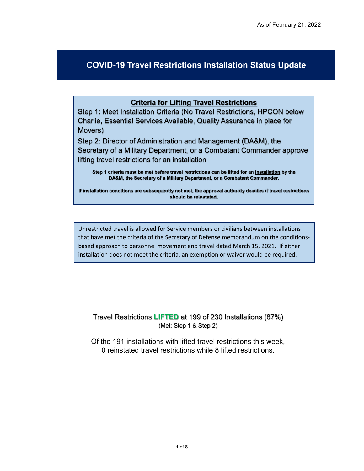## **COVID-19 Travel Restrictions Installation Status Update**

## **Criteria for Lifting Travel Restrictions**

Step 1: Meet Installation Criteria (No Travel Restrictions, HPCON below Charlie, Essential Services Available, Quality Assurance in place for Movers)

Step 2: Director of Administration and Management (DA&M), the Secretary of a Military Department, or a Combatant Commander approve lifting travel restrictions for an installation

**Step 1 criteria must be met before travel restrictions can be lifted for an installation by the DA&M, the Secretary of a Military Department, or a Combatant Commander.** 

**If installation conditions are subsequently not met, the approval authority decides if travel restrictions should be reinstated.** 

Unrestricted travel is allowed for Service members or civilians between installations that have met the criteria of the Secretary of Defense memorandum on the conditionsbased approach to personnel movement and travel dated March 15, 2021. If either installation does not meet the criteria, an exemption or waiver would be required.

Travel Restrictions **LIFTED** at 199 of 230 Installations (87%) (Met: Step 1 & Step 2)

Of the 191 installations with lifted travel restrictions this week, 0 reinstated travel restrictions while 8 lifted restrictions.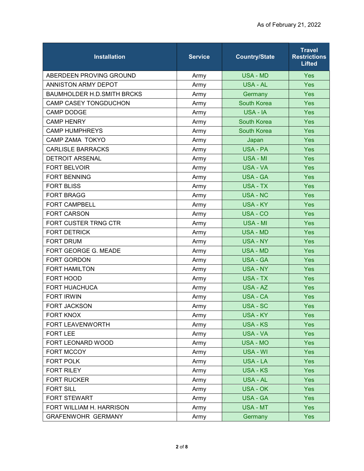| <b>Installation</b>               | <b>Service</b> | <b>Country/State</b> | <b>Travel</b><br><b>Restrictions</b><br><b>Lifted</b> |
|-----------------------------------|----------------|----------------------|-------------------------------------------------------|
| ABERDEEN PROVING GROUND           | Army           | <b>USA - MD</b>      | <b>Yes</b>                                            |
| ANNISTON ARMY DEPOT               | Army           | USA - AL             | Yes                                                   |
| <b>BAUMHOLDER H.D.SMITH BRCKS</b> | Army           | Germany              | Yes                                                   |
| <b>CAMP CASEY TONGDUCHON</b>      | Army           | <b>South Korea</b>   | <b>Yes</b>                                            |
| <b>CAMP DODGE</b>                 | Army           | USA - IA             | Yes                                                   |
| <b>CAMP HENRY</b>                 | Army           | <b>South Korea</b>   | Yes                                                   |
| <b>CAMP HUMPHREYS</b>             | Army           | <b>South Korea</b>   | Yes                                                   |
| CAMP ZAMA TOKYO                   | Army           | Japan                | Yes                                                   |
| <b>CARLISLE BARRACKS</b>          | Army           | <b>USA - PA</b>      | Yes                                                   |
| <b>DETROIT ARSENAL</b>            | Army           | USA - MI             | Yes                                                   |
| <b>FORT BELVOIR</b>               | Army           | <b>USA - VA</b>      | Yes                                                   |
| <b>FORT BENNING</b>               | Army           | USA - GA             | Yes                                                   |
| <b>FORT BLISS</b>                 | Army           | <b>USA - TX</b>      | <b>Yes</b>                                            |
| <b>FORT BRAGG</b>                 | Army           | <b>USA - NC</b>      | Yes                                                   |
| <b>FORT CAMPBELL</b>              | Army           | <b>USA - KY</b>      | Yes                                                   |
| <b>FORT CARSON</b>                | Army           | USA - CO             | Yes                                                   |
| FORT CUSTER TRNG CTR              | Army           | USA - MI             | Yes                                                   |
| <b>FORT DETRICK</b>               | Army           | <b>USA - MD</b>      | <b>Yes</b>                                            |
| <b>FORT DRUM</b>                  | Army           | <b>USA - NY</b>      | Yes                                                   |
| FORT GEORGE G. MEADE              | Army           | <b>USA - MD</b>      | Yes                                                   |
| <b>FORT GORDON</b>                | Army           | <b>USA - GA</b>      | Yes                                                   |
| <b>FORT HAMILTON</b>              | Army           | USA - NY             | Yes                                                   |
| FORT HOOD                         | Army           | <b>USA - TX</b>      | Yes                                                   |
| <b>FORT HUACHUCA</b>              | Army           | USA - AZ             | Yes                                                   |
| <b>FORT IRWIN</b>                 | Army           | USA - CA             | <b>Yes</b>                                            |
| <b>FORT JACKSON</b>               | Army           | <b>USA - SC</b>      | Yes                                                   |
| <b>FORT KNOX</b>                  | Army           | USA - KY             | Yes                                                   |
| FORT LEAVENWORTH                  | Army           | <b>USA - KS</b>      | Yes                                                   |
| <b>FORT LEE</b>                   | Army           | <b>USA - VA</b>      | Yes                                                   |
| FORT LEONARD WOOD                 | Army           | <b>USA - MO</b>      | <b>Yes</b>                                            |
| FORT MCCOY                        | Army           | USA - WI             | Yes                                                   |
| FORT POLK                         | Army           | USA - LA             | Yes                                                   |
| <b>FORT RILEY</b>                 | Army           | <b>USA - KS</b>      | Yes                                                   |
| <b>FORT RUCKER</b>                | Army           | <b>USA - AL</b>      | Yes                                                   |
| <b>FORT SILL</b>                  | Army           | <b>USA - OK</b>      | Yes                                                   |
| FORT STEWART                      | Army           | <b>USA - GA</b>      | Yes                                                   |
| FORT WILLIAM H. HARRISON          | Army           | USA - MT             | <b>Yes</b>                                            |
| <b>GRAFENWOHR GERMANY</b>         | Army           | Germany              | Yes                                                   |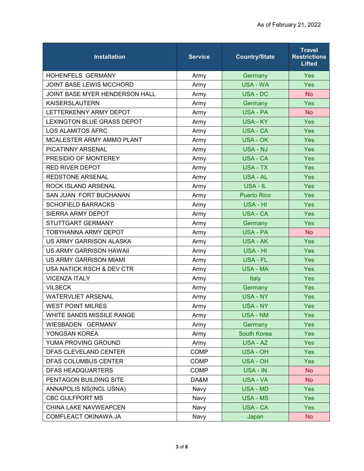| <b>Installation</b>               | <b>Service</b> | <b>Country/State</b> | <b>Travel</b><br><b>Restrictions</b><br><b>Lifted</b> |
|-----------------------------------|----------------|----------------------|-------------------------------------------------------|
| <b>HOHENFELS GERMANY</b>          | Army           | Germany              | <b>Yes</b>                                            |
| JOINT BASE LEWIS MCCHORD          | Army           | <b>USA - WA</b>      | Yes                                                   |
| JOINT BASE MYER HENDERSON HALL    | Army           | <b>USA - DC</b>      | <b>No</b>                                             |
| <b>KAISERSLAUTERN</b>             | Army           | Germany              | Yes                                                   |
| LETTERKENNY ARMY DEPOT            | Army           | <b>USA - PA</b>      | <b>No</b>                                             |
| <b>LEXINGTON BLUE GRASS DEPOT</b> | Army           | USA - KY             | Yes                                                   |
| <b>LOS ALAMITOS AFRC</b>          | Army           | USA - CA             | Yes                                                   |
| MCALESTER ARMY AMMO PLANT         | Army           | USA - OK             | Yes                                                   |
| PICATINNY ARSENAL                 | Army           | <b>USA - NJ</b>      | Yes                                                   |
| PRESIDIO OF MONTEREY              | Army           | USA - CA             | Yes                                                   |
| <b>RED RIVER DEPOT</b>            | Army           | USA - TX             | <b>Yes</b>                                            |
| <b>REDSTONE ARSENAL</b>           | Army           | USA - AL             | <b>Yes</b>                                            |
| <b>ROCK ISLAND ARSENAL</b>        | Army           | USA - IL             | Yes                                                   |
| SAN JUAN FORT BUCHANAN            | Army           | <b>Puerto Rico</b>   | Yes                                                   |
| <b>SCHOFIELD BARRACKS</b>         | Army           | USA - HI             | Yes                                                   |
| SIERRA ARMY DEPOT                 | Army           | <b>USA - CA</b>      | <b>Yes</b>                                            |
| STUTTGART GERMANY                 | Army           | Germany              | Yes                                                   |
| <b>TOBYHANNA ARMY DEPOT</b>       | Army           | <b>USA - PA</b>      | <b>No</b>                                             |
| US ARMY GARRISON ALASKA           | Army           | <b>USA - AK</b>      | Yes                                                   |
| <b>US ARMY GARRISON HAWAII</b>    | Army           | USA - HI             | Yes                                                   |
| <b>US ARMY GARRISON MIAMI</b>     | Army           | USA - FL             | <b>Yes</b>                                            |
| USA NATICK RSCH & DEV CTR         | Army           | <b>USA - MA</b>      | Yes                                                   |
| <b>VICENZA ITALY</b>              | Army           | Italy                | Yes                                                   |
| <b>VILSECK</b>                    | Army           | Germany              | Yes                                                   |
| <b>WATERVLIET ARSENAL</b>         | Army           | USA - NY             | Yes                                                   |
| <b>WEST POINT MILRES</b>          | Army           | <b>USA - NY</b>      | Yes                                                   |
| WHITE SANDS MISSILE RANGE         | Army           | <b>USA - NM</b>      | Yes                                                   |
| WIESBADEN GERMANY                 | Army           | Germany              | Yes                                                   |
| YONGSAN KOREA                     | Army           | <b>South Korea</b>   | Yes                                                   |
| YUMA PROVING GROUND               | Army           | USA - AZ             | Yes                                                   |
| DFAS CLEVELAND CENTER             | <b>COMP</b>    | <b>USA - OH</b>      | Yes                                                   |
| DFAS COLUMBUS CENTER              | <b>COMP</b>    | USA - OH             | Yes                                                   |
| <b>DFAS HEADQUARTERS</b>          | <b>COMP</b>    | USA - IN             | <b>No</b>                                             |
| PENTAGON BUILDING SITE            | DA&M           | USA - VA             | <b>No</b>                                             |
| ANNAPOLIS NS(INCL USNA)           | Navy           | USA - MD             | Yes                                                   |
| <b>CBC GULFPORT MS</b>            | Navy           | USA - MS             | Yes                                                   |
| CHINA LAKE NAVWEAPCEN             | Navy           | USA - CA             | Yes                                                   |
| COMFLEACT OKINAWA JA              | Navy           | Japan                | <b>No</b>                                             |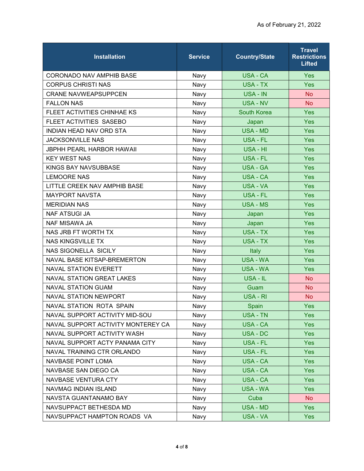| <b>Installation</b>                | <b>Service</b> | <b>Country/State</b> | <b>Travel</b><br><b>Restrictions</b><br><b>Lifted</b> |
|------------------------------------|----------------|----------------------|-------------------------------------------------------|
| <b>CORONADO NAV AMPHIB BASE</b>    | Navy           | <b>USA - CA</b>      | <b>Yes</b>                                            |
| <b>CORPUS CHRISTI NAS</b>          | Navy           | <b>USA - TX</b>      | Yes                                                   |
| <b>CRANE NAVWEAPSUPPCEN</b>        | Navy           | USA - IN             | <b>No</b>                                             |
| <b>FALLON NAS</b>                  | Navy           | <b>USA - NV</b>      | <b>No</b>                                             |
| FLEET ACTIVITIES CHINHAE KS        | Navy           | <b>South Korea</b>   | Yes                                                   |
| FLEET ACTIVITIES SASEBO            | Navy           | Japan                | <b>Yes</b>                                            |
| <b>INDIAN HEAD NAV ORD STA</b>     | Navy           | <b>USA - MD</b>      | <b>Yes</b>                                            |
| <b>JACKSONVILLE NAS</b>            | Navy           | USA - FL             | <b>Yes</b>                                            |
| <b>JBPHH PEARL HARBOR HAWAII</b>   | Navy           | USA - HI             | Yes                                                   |
| <b>KEY WEST NAS</b>                | Navy           | USA - FL             | <b>Yes</b>                                            |
| KINGS BAY NAVSUBBASE               | Navy           | <b>USA - GA</b>      | <b>Yes</b>                                            |
| <b>LEMOORE NAS</b>                 | Navy           | USA - CA             | <b>Yes</b>                                            |
| LITTLE CREEK NAV AMPHIB BASE       | Navy           | USA - VA             | <b>Yes</b>                                            |
| <b>MAYPORT NAVSTA</b>              | Navy           | USA - FL             | Yes                                                   |
| <b>MERIDIAN NAS</b>                | Navy           | <b>USA - MS</b>      | Yes                                                   |
| <b>NAF ATSUGI JA</b>               | Navy           | Japan                | <b>Yes</b>                                            |
| <b>NAF MISAWA JA</b>               | Navy           | Japan                | Yes                                                   |
| NAS JRB FT WORTH TX                | Navy           | USA - TX             | <b>Yes</b>                                            |
| <b>NAS KINGSVILLE TX</b>           | Navy           | USA - TX             | <b>Yes</b>                                            |
| <b>NAS SIGONELLA SICILY</b>        | Navy           | Italy                | Yes                                                   |
| NAVAL BASE KITSAP-BREMERTON        | Navy           | <b>USA - WA</b>      | <b>Yes</b>                                            |
| <b>NAVAL STATION EVERETT</b>       | Navy           | <b>USA - WA</b>      | <b>Yes</b>                                            |
| <b>NAVAL STATION GREAT LAKES</b>   | Navy           | USA - IL             | <b>No</b>                                             |
| <b>NAVAL STATION GUAM</b>          | Navy           | Guam                 | <b>No</b>                                             |
| <b>NAVAL STATION NEWPORT</b>       | Navy           | USA - RI             | No.                                                   |
| NAVAL STATION ROTA SPAIN           | Navy           | Spain                | Yes                                                   |
| NAVAL SUPPORT ACTIVITY MID-SOU     | Navy           | <b>USA - TN</b>      | Yes                                                   |
| NAVAL SUPPORT ACTIVITY MONTEREY CA | Navy           | <b>USA - CA</b>      | <b>Yes</b>                                            |
| NAVAL SUPPORT ACTIVITY WASH        | Navy           | <b>USA - DC</b>      | Yes                                                   |
| NAVAL SUPPORT ACTY PANAMA CITY     | Navy           | USA - FL             | <b>Yes</b>                                            |
| NAVAL TRAINING CTR ORLANDO         | Navy           | USA - FL             | Yes                                                   |
| <b>NAVBASE POINT LOMA</b>          | Navy           | USA - CA             | Yes                                                   |
| NAVBASE SAN DIEGO CA               | Navy           | USA - CA             | Yes                                                   |
| NAVBASE VENTURA CTY                | Navy           | USA - CA             | Yes                                                   |
| NAVMAG INDIAN ISLAND               | Navy           | USA - WA             | Yes                                                   |
| NAVSTA GUANTANAMO BAY              | Navy           | Cuba                 | <b>No</b>                                             |
| NAVSUPPACT BETHESDA MD             | Navy           | USA - MD             | <b>Yes</b>                                            |
| NAVSUPPACT HAMPTON ROADS VA        | Navy           | USA - VA             | Yes                                                   |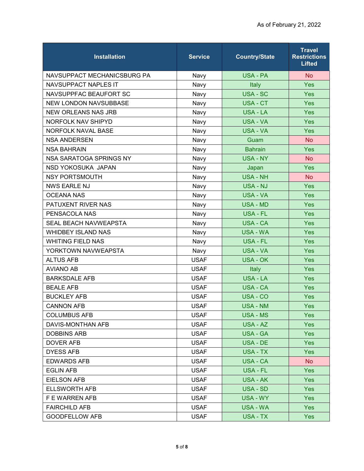| <b>Installation</b>          | <b>Service</b> | <b>Country/State</b> | <b>Travel</b><br><b>Restrictions</b><br><b>Lifted</b> |
|------------------------------|----------------|----------------------|-------------------------------------------------------|
| NAVSUPPACT MECHANICSBURG PA  | Navy           | USA - PA             | <b>No</b>                                             |
| <b>NAVSUPPACT NAPLES IT</b>  | Navy           | Italy                | Yes                                                   |
| NAVSUPPFAC BEAUFORT SC       | Navy           | <b>USA - SC</b>      | Yes                                                   |
| <b>NEW LONDON NAVSUBBASE</b> | Navy           | USA - CT             | <b>Yes</b>                                            |
| <b>NEW ORLEANS NAS JRB</b>   | Navy           | <b>USA - LA</b>      | Yes                                                   |
| NORFOLK NAV SHIPYD           | Navy           | USA - VA             | Yes                                                   |
| <b>NORFOLK NAVAL BASE</b>    | Navy           | <b>USA - VA</b>      | <b>Yes</b>                                            |
| <b>NSA ANDERSEN</b>          | Navy           | Guam                 | <b>No</b>                                             |
| <b>NSA BAHRAIN</b>           | Navy           | <b>Bahrain</b>       | <b>Yes</b>                                            |
| NSA SARATOGA SPRINGS NY      | Navy           | USA - NY             | <b>No</b>                                             |
| NSD YOKOSUKA JAPAN           | Navy           | Japan                | <b>Yes</b>                                            |
| <b>NSY PORTSMOUTH</b>        | Navy           | <b>USA - NH</b>      | <b>No</b>                                             |
| <b>NWS EARLE NJ</b>          | Navy           | <b>USA - NJ</b>      | <b>Yes</b>                                            |
| <b>OCEANA NAS</b>            | Navy           | USA - VA             | Yes                                                   |
| PATUXENT RIVER NAS           | Navy           | <b>USA - MD</b>      | Yes                                                   |
| PENSACOLA NAS                | Navy           | USA - FL             | Yes                                                   |
| SEAL BEACH NAVWEAPSTA        | Navy           | <b>USA - CA</b>      | Yes                                                   |
| <b>WHIDBEY ISLAND NAS</b>    | Navy           | USA - WA             | <b>Yes</b>                                            |
| <b>WHITING FIELD NAS</b>     | Navy           | USA - FL             | Yes                                                   |
| YORKTOWN NAVWEAPSTA          | Navy           | <b>USA - VA</b>      | Yes                                                   |
| <b>ALTUS AFB</b>             | <b>USAF</b>    | <b>USA - OK</b>      | <b>Yes</b>                                            |
| <b>AVIANO AB</b>             | <b>USAF</b>    | Italy                | <b>Yes</b>                                            |
| <b>BARKSDALE AFB</b>         | <b>USAF</b>    | <b>USA - LA</b>      | Yes                                                   |
| <b>BEALE AFB</b>             | <b>USAF</b>    | <b>USA - CA</b>      | Yes                                                   |
| <b>BUCKLEY AFB</b>           | <b>USAF</b>    | USA - CO             | <b>Yes</b>                                            |
| <b>CANNON AFB</b>            | <b>USAF</b>    | <b>USA - NM</b>      | Yes                                                   |
| <b>COLUMBUS AFB</b>          | <b>USAF</b>    | USA - MS             | <b>Yes</b>                                            |
| DAVIS-MONTHAN AFB            | <b>USAF</b>    | USA - AZ             | <b>Yes</b>                                            |
| <b>DOBBINS ARB</b>           | <b>USAF</b>    | <b>USA - GA</b>      | Yes                                                   |
| DOVER AFB                    | <b>USAF</b>    | USA - DE             | <b>Yes</b>                                            |
| <b>DYESS AFB</b>             | <b>USAF</b>    | USA - TX             | <b>Yes</b>                                            |
| <b>EDWARDS AFB</b>           | <b>USAF</b>    | USA - CA             | No                                                    |
| <b>EGLIN AFB</b>             | <b>USAF</b>    | USA - FL             | <b>Yes</b>                                            |
| <b>EIELSON AFB</b>           | <b>USAF</b>    | USA - AK             | <b>Yes</b>                                            |
| <b>ELLSWORTH AFB</b>         | <b>USAF</b>    | USA - SD             | <b>Yes</b>                                            |
| F E WARREN AFB               | <b>USAF</b>    | USA - WY             | <b>Yes</b>                                            |
| <b>FAIRCHILD AFB</b>         | <b>USAF</b>    | USA - WA             | <b>Yes</b>                                            |
| <b>GOODFELLOW AFB</b>        | <b>USAF</b>    | USA - TX             | Yes                                                   |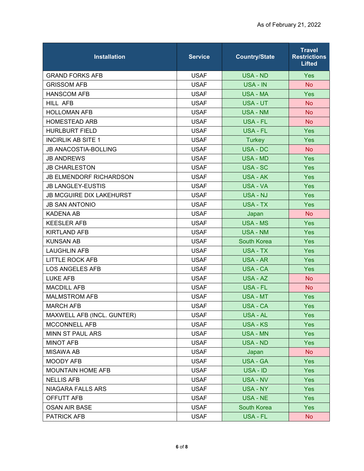| <b>Installation</b>             | <b>Service</b> | <b>Country/State</b> | <b>Travel</b><br><b>Restrictions</b><br><b>Lifted</b> |
|---------------------------------|----------------|----------------------|-------------------------------------------------------|
| <b>GRAND FORKS AFB</b>          | <b>USAF</b>    | <b>USA - ND</b>      | Yes                                                   |
| <b>GRISSOM AFB</b>              | <b>USAF</b>    | USA - IN             | <b>No</b>                                             |
| <b>HANSCOM AFB</b>              | <b>USAF</b>    | <b>USA - MA</b>      | <b>Yes</b>                                            |
| HILL AFB                        | <b>USAF</b>    | <b>USA - UT</b>      | <b>No</b>                                             |
| <b>HOLLOMAN AFB</b>             | <b>USAF</b>    | <b>USA - NM</b>      | <b>No</b>                                             |
| <b>HOMESTEAD ARB</b>            | <b>USAF</b>    | USA - FL             | <b>No</b>                                             |
| <b>HURLBURT FIELD</b>           | <b>USAF</b>    | USA - FL             | <b>Yes</b>                                            |
| <b>INCIRLIK AB SITE 1</b>       | <b>USAF</b>    | <b>Turkey</b>        | Yes                                                   |
| <b>JB ANACOSTIA-BOLLING</b>     | <b>USAF</b>    | USA - DC             | No.                                                   |
| <b>JB ANDREWS</b>               | <b>USAF</b>    | <b>USA - MD</b>      | Yes                                                   |
| <b>JB CHARLESTON</b>            | <b>USAF</b>    | USA - SC             | <b>Yes</b>                                            |
| <b>JB ELMENDORF RICHARDSON</b>  | <b>USAF</b>    | USA - AK             | Yes                                                   |
| <b>JB LANGLEY-EUSTIS</b>        | <b>USAF</b>    | <b>USA - VA</b>      | Yes                                                   |
| <b>JB MCGUIRE DIX LAKEHURST</b> | <b>USAF</b>    | USA - NJ             | Yes                                                   |
| <b>JB SAN ANTONIO</b>           | <b>USAF</b>    | USA - TX             | Yes                                                   |
| <b>KADENA AB</b>                | <b>USAF</b>    | Japan                | No.                                                   |
| <b>KEESLER AFB</b>              | <b>USAF</b>    | <b>USA - MS</b>      | Yes                                                   |
| <b>KIRTLAND AFB</b>             | <b>USAF</b>    | <b>USA - NM</b>      | <b>Yes</b>                                            |
| <b>KUNSAN AB</b>                | <b>USAF</b>    | <b>South Korea</b>   | Yes                                                   |
| <b>LAUGHLIN AFB</b>             | <b>USAF</b>    | <b>USA - TX</b>      | Yes                                                   |
| <b>LITTLE ROCK AFB</b>          | <b>USAF</b>    | <b>USA - AR</b>      | <b>Yes</b>                                            |
| <b>LOS ANGELES AFB</b>          | <b>USAF</b>    | <b>USA - CA</b>      | Yes                                                   |
| LUKE AFB                        | <b>USAF</b>    | USA - AZ             | <b>No</b>                                             |
| <b>MACDILL AFB</b>              | <b>USAF</b>    | USA - FL             | <b>No</b>                                             |
| <b>MALMSTROM AFB</b>            | <b>USAF</b>    | USA - MT             | Yes                                                   |
| <b>MARCH AFB</b>                | <b>USAF</b>    | USA - CA             | Yes                                                   |
| MAXWELL AFB (INCL. GUNTER)      | <b>USAF</b>    | USA - AL             | Yes                                                   |
| MCCONNELL AFB                   | <b>USAF</b>    | <b>USA - KS</b>      | <b>Yes</b>                                            |
| MINN ST PAUL ARS                | <b>USAF</b>    | <b>USA - MN</b>      | Yes                                                   |
| <b>MINOT AFB</b>                | <b>USAF</b>    | USA - ND             | Yes                                                   |
| <b>MISAWA AB</b>                | <b>USAF</b>    | Japan                | <b>No</b>                                             |
| <b>MOODY AFB</b>                | <b>USAF</b>    | <b>USA - GA</b>      | <b>Yes</b>                                            |
| <b>MOUNTAIN HOME AFB</b>        | <b>USAF</b>    | USA - ID             | <b>Yes</b>                                            |
| <b>NELLIS AFB</b>               | <b>USAF</b>    | <b>USA - NV</b>      | Yes                                                   |
| NIAGARA FALLS ARS               | <b>USAF</b>    | <b>USA - NY</b>      | <b>Yes</b>                                            |
| OFFUTT AFB                      | <b>USAF</b>    | USA - NE             | <b>Yes</b>                                            |
| <b>OSAN AIR BASE</b>            | <b>USAF</b>    | <b>South Korea</b>   | <b>Yes</b>                                            |
| PATRICK AFB                     | <b>USAF</b>    | USA - FL             | No                                                    |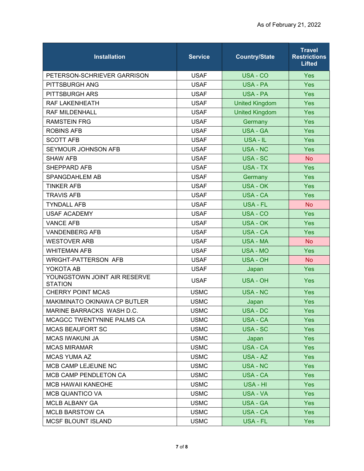| <b>Installation</b>                            | <b>Service</b> | <b>Country/State</b>  | <b>Travel</b><br><b>Restrictions</b><br><b>Lifted</b> |
|------------------------------------------------|----------------|-----------------------|-------------------------------------------------------|
| PETERSON-SCHRIEVER GARRISON                    | <b>USAF</b>    | USA - CO              | <b>Yes</b>                                            |
| PITTSBURGH ANG                                 | <b>USAF</b>    | USA - PA              | Yes                                                   |
| PITTSBURGH ARS                                 | <b>USAF</b>    | <b>USA - PA</b>       | Yes                                                   |
| RAF LAKENHEATH                                 | <b>USAF</b>    | <b>United Kingdom</b> | Yes                                                   |
| <b>RAF MILDENHALL</b>                          | <b>USAF</b>    | <b>United Kingdom</b> | Yes                                                   |
| <b>RAMSTEIN FRG</b>                            | <b>USAF</b>    | Germany               | Yes                                                   |
| <b>ROBINS AFB</b>                              | <b>USAF</b>    | <b>USA - GA</b>       | Yes                                                   |
| <b>SCOTT AFB</b>                               | <b>USAF</b>    | USA - IL              | Yes                                                   |
| SEYMOUR JOHNSON AFB                            | <b>USAF</b>    | <b>USA - NC</b>       | Yes                                                   |
| <b>SHAW AFB</b>                                | <b>USAF</b>    | USA - SC              | <b>No</b>                                             |
| SHEPPARD AFB                                   | <b>USAF</b>    | USA - TX              | Yes                                                   |
| SPANGDAHLEM AB                                 | <b>USAF</b>    | Germany               | Yes                                                   |
| <b>TINKER AFB</b>                              | <b>USAF</b>    | <b>USA - OK</b>       | Yes                                                   |
| <b>TRAVIS AFB</b>                              | <b>USAF</b>    | <b>USA - CA</b>       | Yes                                                   |
| <b>TYNDALL AFB</b>                             | <b>USAF</b>    | USA - FL              | <b>No</b>                                             |
| <b>USAF ACADEMY</b>                            | <b>USAF</b>    | USA - CO              | Yes                                                   |
| <b>VANCE AFB</b>                               | <b>USAF</b>    | <b>USA - OK</b>       | Yes                                                   |
| <b>VANDENBERG AFB</b>                          | <b>USAF</b>    | <b>USA - CA</b>       | Yes                                                   |
| <b>WESTOVER ARB</b>                            | <b>USAF</b>    | <b>USA - MA</b>       | <b>No</b>                                             |
| <b>WHITEMAN AFB</b>                            | <b>USAF</b>    | <b>USA - MO</b>       | Yes                                                   |
| <b>WRIGHT-PATTERSON AFB</b>                    | <b>USAF</b>    | <b>USA - OH</b>       | <b>No</b>                                             |
| YOKOTA AB                                      | <b>USAF</b>    | Japan                 | Yes                                                   |
| YOUNGSTOWN JOINT AIR RESERVE<br><b>STATION</b> | <b>USAF</b>    | <b>USA - OH</b>       | Yes                                                   |
| <b>CHERRY POINT MCAS</b>                       | <b>USMC</b>    | <b>USA - NC</b>       | Yes                                                   |
| <b>MAKIMINATO OKINAWA CP BUTLER</b>            | <b>USMC</b>    | Japan                 | Yes                                                   |
| MARINE BARRACKS WASH D.C.                      | <b>USMC</b>    | USA - DC              | Yes                                                   |
| MCAGCC TWENTYNINE PALMS CA                     | <b>USMC</b>    | <b>USA - CA</b>       | <b>Yes</b>                                            |
| <b>MCAS BEAUFORT SC</b>                        | <b>USMC</b>    | USA - SC              | <b>Yes</b>                                            |
| <b>MCAS IWAKUNI JA</b>                         | <b>USMC</b>    | Japan                 | <b>Yes</b>                                            |
| <b>MCAS MIRAMAR</b>                            | <b>USMC</b>    | <b>USA - CA</b>       | <b>Yes</b>                                            |
| <b>MCAS YUMA AZ</b>                            | <b>USMC</b>    | USA - AZ              | <b>Yes</b>                                            |
| MCB CAMP LEJEUNE NC                            | <b>USMC</b>    | <b>USA - NC</b>       | Yes                                                   |
| <b>MCB CAMP PENDLETON CA</b>                   | <b>USMC</b>    | USA - CA              | <b>Yes</b>                                            |
| <b>MCB HAWAII KANEOHE</b>                      | <b>USMC</b>    | USA - HI              | <b>Yes</b>                                            |
| <b>MCB QUANTICO VA</b>                         | <b>USMC</b>    | USA - VA              | <b>Yes</b>                                            |
| <b>MCLB ALBANY GA</b>                          | <b>USMC</b>    | <b>USA - GA</b>       | <b>Yes</b>                                            |
| <b>MCLB BARSTOW CA</b>                         | <b>USMC</b>    | <b>USA - CA</b>       | Yes                                                   |
| <b>MCSF BLOUNT ISLAND</b>                      | <b>USMC</b>    | USA - FL              | <b>Yes</b>                                            |